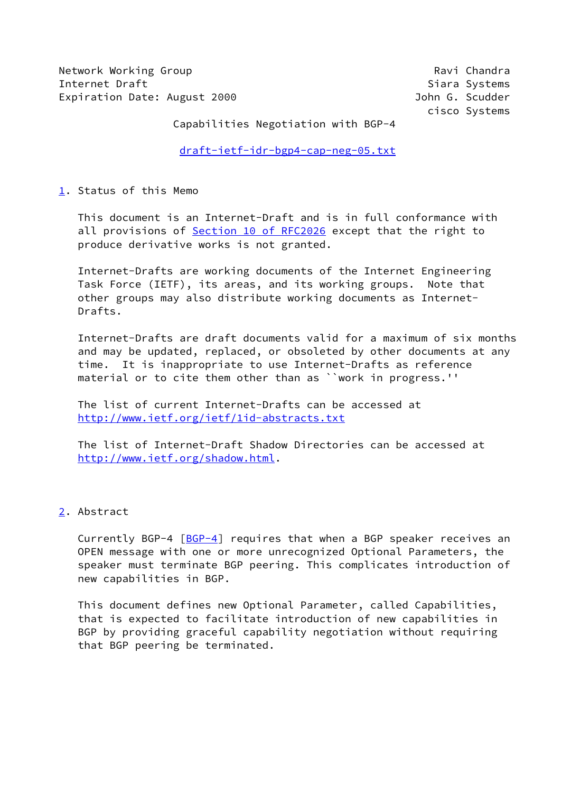Network Working Group **Ravi Chandra** Ravi Chandra **Internet Draft** Siara Systems (Section 1991) 11:33 and Siara Systems (Siara Systems of Siara Systems of Siara Systems of Siara Systems of Siara Systems of Siara Systems of Siara Systems of Siara Systems of Siara Systems o Expiration Date: August 2000 John G. Scudder

cisco Systems

Capabilities Negotiation with BGP-4

[draft-ietf-idr-bgp4-cap-neg-05.txt](https://datatracker.ietf.org/doc/pdf/draft-ietf-idr-bgp4-cap-neg-05.txt)

# <span id="page-0-0"></span>[1](#page-0-0). Status of this Memo

 This document is an Internet-Draft and is in full conformance with all provisions of Section [10 of RFC2026](https://datatracker.ietf.org/doc/pdf/rfc2026#section-10) except that the right to produce derivative works is not granted.

 Internet-Drafts are working documents of the Internet Engineering Task Force (IETF), its areas, and its working groups. Note that other groups may also distribute working documents as Internet- Drafts.

 Internet-Drafts are draft documents valid for a maximum of six months and may be updated, replaced, or obsoleted by other documents at any time. It is inappropriate to use Internet-Drafts as reference material or to cite them other than as ``work in progress.''

 The list of current Internet-Drafts can be accessed at <http://www.ietf.org/ietf/1id-abstracts.txt>

 The list of Internet-Draft Shadow Directories can be accessed at <http://www.ietf.org/shadow.html>.

# <span id="page-0-1"></span>[2](#page-0-1). Abstract

Currently BGP-4  $[BGP-4]$  $[BGP-4]$  requires that when a BGP speaker receives an OPEN message with one or more unrecognized Optional Parameters, the speaker must terminate BGP peering. This complicates introduction of new capabilities in BGP.

 This document defines new Optional Parameter, called Capabilities, that is expected to facilitate introduction of new capabilities in BGP by providing graceful capability negotiation without requiring that BGP peering be terminated.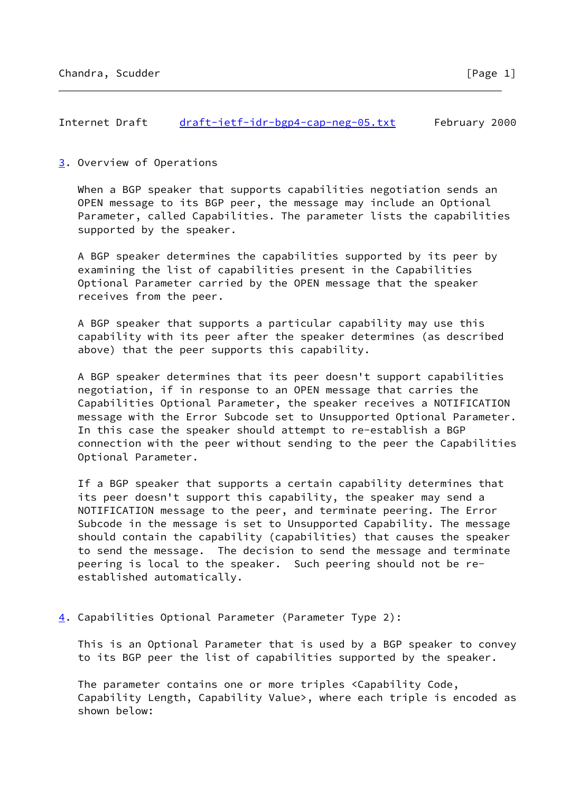### Internet Draft [draft-ietf-idr-bgp4-cap-neg-05.txt](https://datatracker.ietf.org/doc/pdf/draft-ietf-idr-bgp4-cap-neg-05.txt) February 2000

## <span id="page-1-0"></span>[3](#page-1-0). Overview of Operations

 When a BGP speaker that supports capabilities negotiation sends an OPEN message to its BGP peer, the message may include an Optional Parameter, called Capabilities. The parameter lists the capabilities supported by the speaker.

 A BGP speaker determines the capabilities supported by its peer by examining the list of capabilities present in the Capabilities Optional Parameter carried by the OPEN message that the speaker receives from the peer.

 A BGP speaker that supports a particular capability may use this capability with its peer after the speaker determines (as described above) that the peer supports this capability.

 A BGP speaker determines that its peer doesn't support capabilities negotiation, if in response to an OPEN message that carries the Capabilities Optional Parameter, the speaker receives a NOTIFICATION message with the Error Subcode set to Unsupported Optional Parameter. In this case the speaker should attempt to re-establish a BGP connection with the peer without sending to the peer the Capabilities Optional Parameter.

 If a BGP speaker that supports a certain capability determines that its peer doesn't support this capability, the speaker may send a NOTIFICATION message to the peer, and terminate peering. The Error Subcode in the message is set to Unsupported Capability. The message should contain the capability (capabilities) that causes the speaker to send the message. The decision to send the message and terminate peering is local to the speaker. Such peering should not be re established automatically.

# <span id="page-1-1"></span>[4](#page-1-1). Capabilities Optional Parameter (Parameter Type 2):

 This is an Optional Parameter that is used by a BGP speaker to convey to its BGP peer the list of capabilities supported by the speaker.

 The parameter contains one or more triples <Capability Code, Capability Length, Capability Value>, where each triple is encoded as shown below: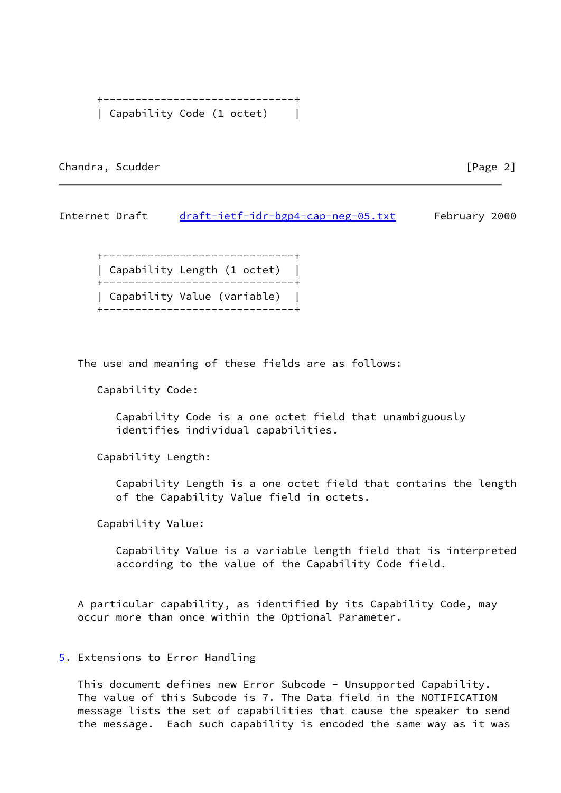```
 +------------------------------+
| Capability Code (1 octet) |
```
Chandra, Scudder **and The Chandra**, Scudder **and The Chandra**, Scudder **and The Chandra** (Page 2)

Internet Draft [draft-ietf-idr-bgp4-cap-neg-05.txt](https://datatracker.ietf.org/doc/pdf/draft-ietf-idr-bgp4-cap-neg-05.txt) February 2000

 +------------------------------+ | Capability Length (1 octet) | +------------------------------+ | Capability Value (variable) | +------------------------------+

The use and meaning of these fields are as follows:

Capability Code:

 Capability Code is a one octet field that unambiguously identifies individual capabilities.

Capability Length:

 Capability Length is a one octet field that contains the length of the Capability Value field in octets.

Capability Value:

 Capability Value is a variable length field that is interpreted according to the value of the Capability Code field.

 A particular capability, as identified by its Capability Code, may occur more than once within the Optional Parameter.

### <span id="page-2-0"></span>[5](#page-2-0). Extensions to Error Handling

This document defines new Error Subcode - Unsupported Capability. The value of this Subcode is 7. The Data field in the NOTIFICATION message lists the set of capabilities that cause the speaker to send the message. Each such capability is encoded the same way as it was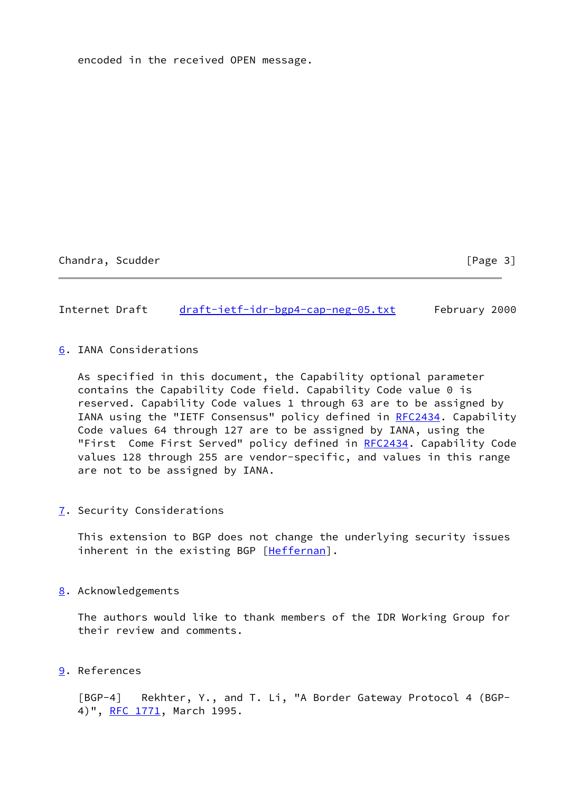encoded in the received OPEN message.

Chandra, Scudder [Page 3]

Internet Draft [draft-ietf-idr-bgp4-cap-neg-05.txt](https://datatracker.ietf.org/doc/pdf/draft-ietf-idr-bgp4-cap-neg-05.txt) February 2000

<span id="page-3-1"></span>[6](#page-3-1). IANA Considerations

 As specified in this document, the Capability optional parameter contains the Capability Code field. Capability Code value 0 is reserved. Capability Code values 1 through 63 are to be assigned by IANA using the "IETF Consensus" policy defined in [RFC2434](https://datatracker.ietf.org/doc/pdf/rfc2434). Capability Code values 64 through 127 are to be assigned by IANA, using the "First Come First Served" policy defined in [RFC2434](https://datatracker.ietf.org/doc/pdf/rfc2434). Capability Code values 128 through 255 are vendor-specific, and values in this range are not to be assigned by IANA.

<span id="page-3-2"></span>[7](#page-3-2). Security Considerations

 This extension to BGP does not change the underlying security issues inherent in the existing BGP [\[Heffernan\]](#page-4-0).

<span id="page-3-3"></span>[8](#page-3-3). Acknowledgements

 The authors would like to thank members of the IDR Working Group for their review and comments.

<span id="page-3-4"></span>[9](#page-3-4). References

<span id="page-3-0"></span> [BGP-4] Rekhter, Y., and T. Li, "A Border Gateway Protocol 4 (BGP- 4)", [RFC 1771](https://datatracker.ietf.org/doc/pdf/rfc1771), March 1995.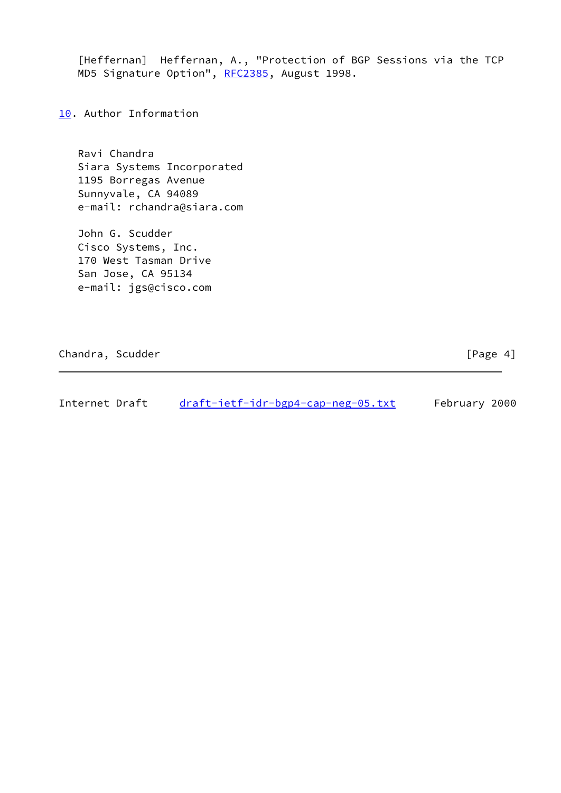<span id="page-4-0"></span> [Heffernan] Heffernan, A., "Protection of BGP Sessions via the TCP MD5 Signature Option", [RFC2385](https://datatracker.ietf.org/doc/pdf/rfc2385), August 1998.

<span id="page-4-1"></span>[10.](#page-4-1) Author Information

 Ravi Chandra Siara Systems Incorporated 1195 Borregas Avenue Sunnyvale, CA 94089 e-mail: rchandra@siara.com

 John G. Scudder Cisco Systems, Inc. 170 West Tasman Drive San Jose, CA 95134 e-mail: jgs@cisco.com

Chandra, Scudder [Page 4]

Internet Draft [draft-ietf-idr-bgp4-cap-neg-05.txt](https://datatracker.ietf.org/doc/pdf/draft-ietf-idr-bgp4-cap-neg-05.txt) February 2000